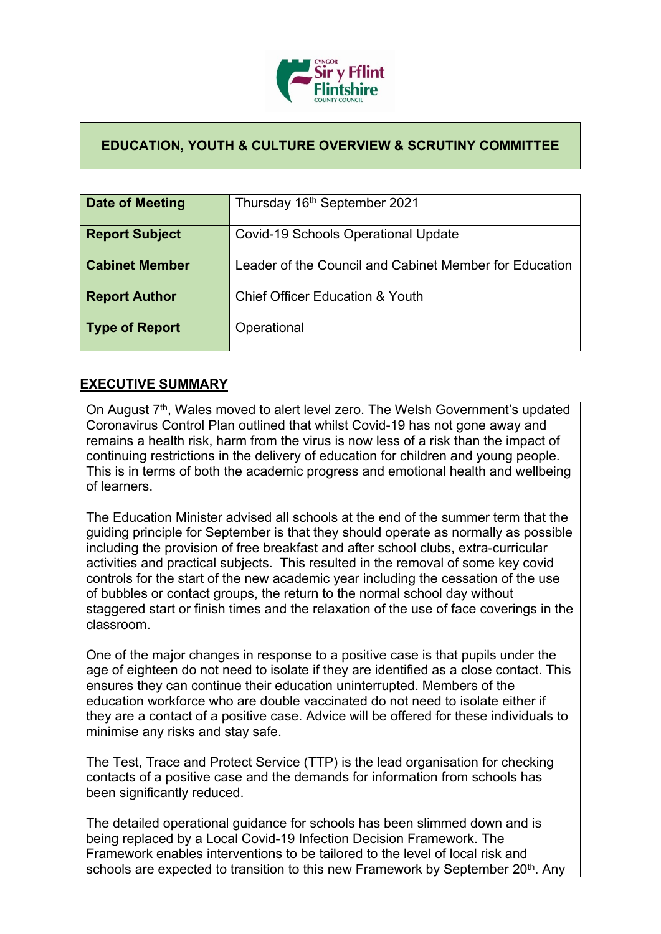

## **EDUCATION, YOUTH & CULTURE OVERVIEW & SCRUTINY COMMITTEE**

| Date of Meeting       | Thursday 16th September 2021                           |
|-----------------------|--------------------------------------------------------|
| <b>Report Subject</b> | <b>Covid-19 Schools Operational Update</b>             |
| <b>Cabinet Member</b> | Leader of the Council and Cabinet Member for Education |
| <b>Report Author</b>  | <b>Chief Officer Education &amp; Youth</b>             |
| Type of Report        | Operational                                            |

## **EXECUTIVE SUMMARY**

On August 7<sup>th</sup>, Wales moved to alert level zero. The Welsh Government's updated Coronavirus Control Plan outlined that whilst Covid-19 has not gone away and remains a health risk, harm from the virus is now less of a risk than the impact of continuing restrictions in the delivery of education for children and young people. This is in terms of both the academic progress and emotional health and wellbeing of learners.

The Education Minister advised all schools at the end of the summer term that the guiding principle for September is that they should operate as normally as possible including the provision of free breakfast and after school clubs, extra-curricular activities and practical subjects. This resulted in the removal of some key covid controls for the start of the new academic year including the cessation of the use of bubbles or contact groups, the return to the normal school day without staggered start or finish times and the relaxation of the use of face coverings in the classroom.

One of the major changes in response to a positive case is that pupils under the age of eighteen do not need to isolate if they are identified as a close contact. This ensures they can continue their education uninterrupted. Members of the education workforce who are double vaccinated do not need to isolate either if they are a contact of a positive case. Advice will be offered for these individuals to minimise any risks and stay safe.

The Test, Trace and Protect Service (TTP) is the lead organisation for checking contacts of a positive case and the demands for information from schools has been significantly reduced.

The detailed operational guidance for schools has been slimmed down and is being replaced by a Local Covid-19 Infection Decision Framework. The Framework enables interventions to be tailored to the level of local risk and schools are expected to transition to this new Framework by September 20<sup>th</sup>. Any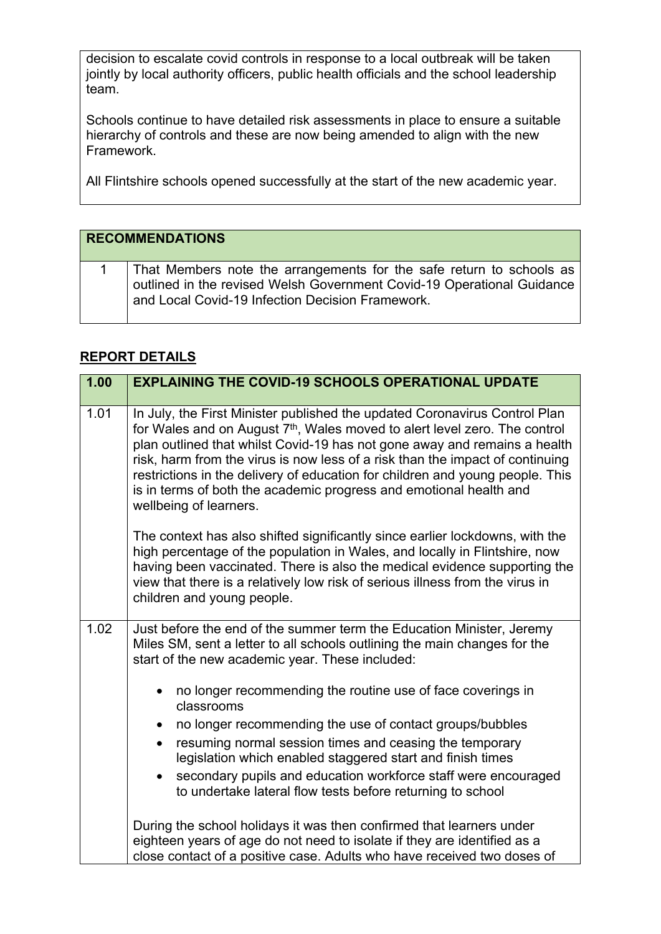decision to escalate covid controls in response to a local outbreak will be taken jointly by local authority officers, public health officials and the school leadership team.

Schools continue to have detailed risk assessments in place to ensure a suitable hierarchy of controls and these are now being amended to align with the new Framework.

All Flintshire schools opened successfully at the start of the new academic year.

| <b>RECOMMENDATIONS</b>                                                                                                                                                                             |
|----------------------------------------------------------------------------------------------------------------------------------------------------------------------------------------------------|
| That Members note the arrangements for the safe return to schools as<br>outlined in the revised Welsh Government Covid-19 Operational Guidance<br>and Local Covid-19 Infection Decision Framework. |

## **REPORT DETAILS**

| 1.00 | <b>EXPLAINING THE COVID-19 SCHOOLS OPERATIONAL UPDATE</b>                                                                                                                                                                                                                                                                                                                                                                                                                                                           |
|------|---------------------------------------------------------------------------------------------------------------------------------------------------------------------------------------------------------------------------------------------------------------------------------------------------------------------------------------------------------------------------------------------------------------------------------------------------------------------------------------------------------------------|
|      |                                                                                                                                                                                                                                                                                                                                                                                                                                                                                                                     |
| 1.01 | In July, the First Minister published the updated Coronavirus Control Plan<br>for Wales and on August 7 <sup>th</sup> , Wales moved to alert level zero. The control<br>plan outlined that whilst Covid-19 has not gone away and remains a health<br>risk, harm from the virus is now less of a risk than the impact of continuing<br>restrictions in the delivery of education for children and young people. This<br>is in terms of both the academic progress and emotional health and<br>wellbeing of learners. |
|      | The context has also shifted significantly since earlier lockdowns, with the<br>high percentage of the population in Wales, and locally in Flintshire, now<br>having been vaccinated. There is also the medical evidence supporting the<br>view that there is a relatively low risk of serious illness from the virus in<br>children and young people.                                                                                                                                                              |
| 1.02 | Just before the end of the summer term the Education Minister, Jeremy<br>Miles SM, sent a letter to all schools outlining the main changes for the<br>start of the new academic year. These included:                                                                                                                                                                                                                                                                                                               |
|      | no longer recommending the routine use of face coverings in<br>classrooms                                                                                                                                                                                                                                                                                                                                                                                                                                           |
|      | no longer recommending the use of contact groups/bubbles                                                                                                                                                                                                                                                                                                                                                                                                                                                            |
|      | resuming normal session times and ceasing the temporary<br>legislation which enabled staggered start and finish times                                                                                                                                                                                                                                                                                                                                                                                               |
|      | secondary pupils and education workforce staff were encouraged<br>to undertake lateral flow tests before returning to school                                                                                                                                                                                                                                                                                                                                                                                        |
|      | During the school holidays it was then confirmed that learners under<br>eighteen years of age do not need to isolate if they are identified as a<br>close contact of a positive case. Adults who have received two doses of                                                                                                                                                                                                                                                                                         |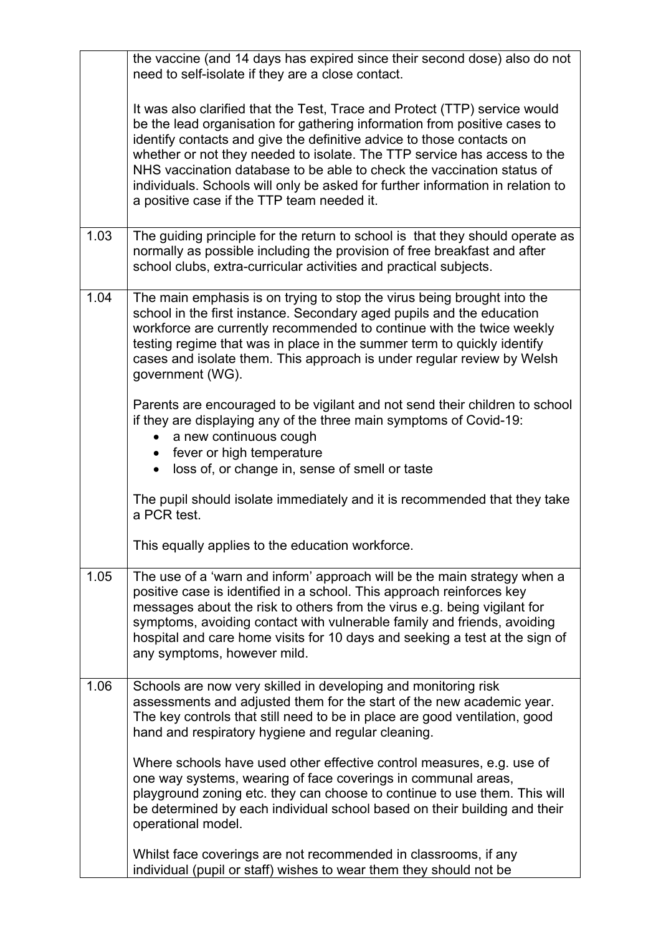|      | the vaccine (and 14 days has expired since their second dose) also do not<br>need to self-isolate if they are a close contact.                                                                                                                                                                                                                                                                                                                                                                                         |
|------|------------------------------------------------------------------------------------------------------------------------------------------------------------------------------------------------------------------------------------------------------------------------------------------------------------------------------------------------------------------------------------------------------------------------------------------------------------------------------------------------------------------------|
|      | It was also clarified that the Test, Trace and Protect (TTP) service would<br>be the lead organisation for gathering information from positive cases to<br>identify contacts and give the definitive advice to those contacts on<br>whether or not they needed to isolate. The TTP service has access to the<br>NHS vaccination database to be able to check the vaccination status of<br>individuals. Schools will only be asked for further information in relation to<br>a positive case if the TTP team needed it. |
| 1.03 | The guiding principle for the return to school is that they should operate as<br>normally as possible including the provision of free breakfast and after<br>school clubs, extra-curricular activities and practical subjects.                                                                                                                                                                                                                                                                                         |
| 1.04 | The main emphasis is on trying to stop the virus being brought into the<br>school in the first instance. Secondary aged pupils and the education<br>workforce are currently recommended to continue with the twice weekly<br>testing regime that was in place in the summer term to quickly identify<br>cases and isolate them. This approach is under regular review by Welsh<br>government (WG).                                                                                                                     |
|      | Parents are encouraged to be vigilant and not send their children to school<br>if they are displaying any of the three main symptoms of Covid-19:<br>a new continuous cough<br>fever or high temperature<br>loss of, or change in, sense of smell or taste                                                                                                                                                                                                                                                             |
|      | The pupil should isolate immediately and it is recommended that they take<br>a PCR test.                                                                                                                                                                                                                                                                                                                                                                                                                               |
|      | This equally applies to the education workforce                                                                                                                                                                                                                                                                                                                                                                                                                                                                        |
| 1.05 | The use of a 'warn and inform' approach will be the main strategy when a<br>positive case is identified in a school. This approach reinforces key<br>messages about the risk to others from the virus e.g. being vigilant for<br>symptoms, avoiding contact with vulnerable family and friends, avoiding<br>hospital and care home visits for 10 days and seeking a test at the sign of<br>any symptoms, however mild.                                                                                                 |
| 1.06 | Schools are now very skilled in developing and monitoring risk<br>assessments and adjusted them for the start of the new academic year.<br>The key controls that still need to be in place are good ventilation, good<br>hand and respiratory hygiene and regular cleaning.                                                                                                                                                                                                                                            |
|      | Where schools have used other effective control measures, e.g. use of<br>one way systems, wearing of face coverings in communal areas,<br>playground zoning etc. they can choose to continue to use them. This will<br>be determined by each individual school based on their building and their<br>operational model.                                                                                                                                                                                                 |
|      | Whilst face coverings are not recommended in classrooms, if any<br>individual (pupil or staff) wishes to wear them they should not be                                                                                                                                                                                                                                                                                                                                                                                  |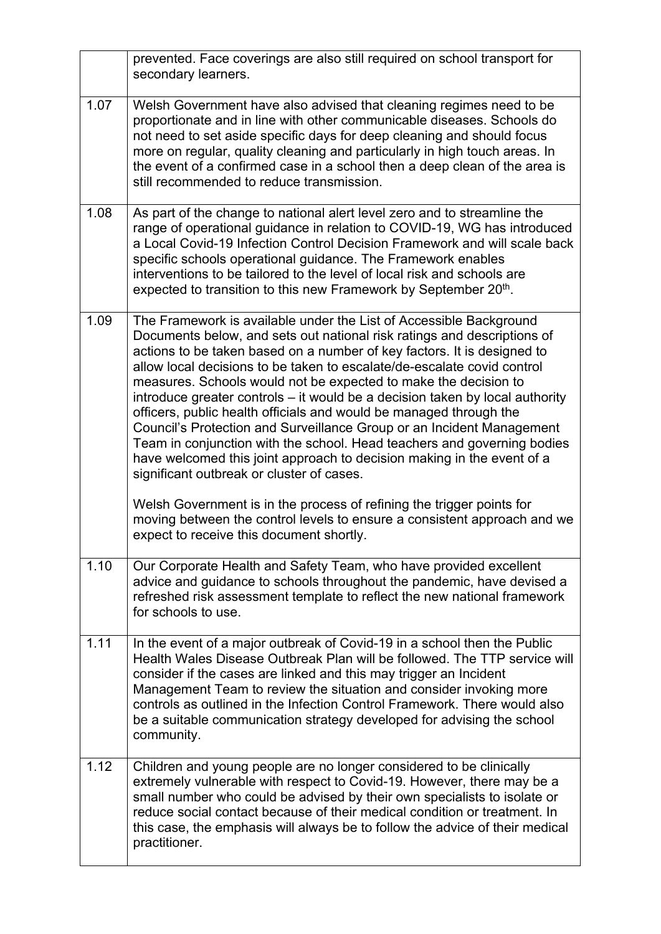|      | prevented. Face coverings are also still required on school transport for<br>secondary learners.                                                                                                                                                                                                                                                                                                                                                                                                                                                                                                                                                                                                                                                                                                                                                                                                                                                                                                         |
|------|----------------------------------------------------------------------------------------------------------------------------------------------------------------------------------------------------------------------------------------------------------------------------------------------------------------------------------------------------------------------------------------------------------------------------------------------------------------------------------------------------------------------------------------------------------------------------------------------------------------------------------------------------------------------------------------------------------------------------------------------------------------------------------------------------------------------------------------------------------------------------------------------------------------------------------------------------------------------------------------------------------|
| 1.07 | Welsh Government have also advised that cleaning regimes need to be<br>proportionate and in line with other communicable diseases. Schools do<br>not need to set aside specific days for deep cleaning and should focus<br>more on regular, quality cleaning and particularly in high touch areas. In<br>the event of a confirmed case in a school then a deep clean of the area is<br>still recommended to reduce transmission.                                                                                                                                                                                                                                                                                                                                                                                                                                                                                                                                                                         |
| 1.08 | As part of the change to national alert level zero and to streamline the<br>range of operational guidance in relation to COVID-19, WG has introduced<br>a Local Covid-19 Infection Control Decision Framework and will scale back<br>specific schools operational guidance. The Framework enables<br>interventions to be tailored to the level of local risk and schools are<br>expected to transition to this new Framework by September 20th.                                                                                                                                                                                                                                                                                                                                                                                                                                                                                                                                                          |
| 1.09 | The Framework is available under the List of Accessible Background<br>Documents below, and sets out national risk ratings and descriptions of<br>actions to be taken based on a number of key factors. It is designed to<br>allow local decisions to be taken to escalate/de-escalate covid control<br>measures. Schools would not be expected to make the decision to<br>introduce greater controls - it would be a decision taken by local authority<br>officers, public health officials and would be managed through the<br>Council's Protection and Surveillance Group or an Incident Management<br>Team in conjunction with the school. Head teachers and governing bodies<br>have welcomed this joint approach to decision making in the event of a<br>significant outbreak or cluster of cases.<br>Welsh Government is in the process of refining the trigger points for<br>moving between the control levels to ensure a consistent approach and we<br>expect to receive this document shortly. |
| 1.10 | Our Corporate Health and Safety Team, who have provided excellent<br>advice and guidance to schools throughout the pandemic, have devised a<br>refreshed risk assessment template to reflect the new national framework<br>for schools to use.                                                                                                                                                                                                                                                                                                                                                                                                                                                                                                                                                                                                                                                                                                                                                           |
| 1.11 | In the event of a major outbreak of Covid-19 in a school then the Public<br>Health Wales Disease Outbreak Plan will be followed. The TTP service will<br>consider if the cases are linked and this may trigger an Incident<br>Management Team to review the situation and consider invoking more<br>controls as outlined in the Infection Control Framework. There would also<br>be a suitable communication strategy developed for advising the school<br>community.                                                                                                                                                                                                                                                                                                                                                                                                                                                                                                                                    |
| 1.12 | Children and young people are no longer considered to be clinically<br>extremely vulnerable with respect to Covid-19. However, there may be a<br>small number who could be advised by their own specialists to isolate or<br>reduce social contact because of their medical condition or treatment. In<br>this case, the emphasis will always be to follow the advice of their medical<br>practitioner.                                                                                                                                                                                                                                                                                                                                                                                                                                                                                                                                                                                                  |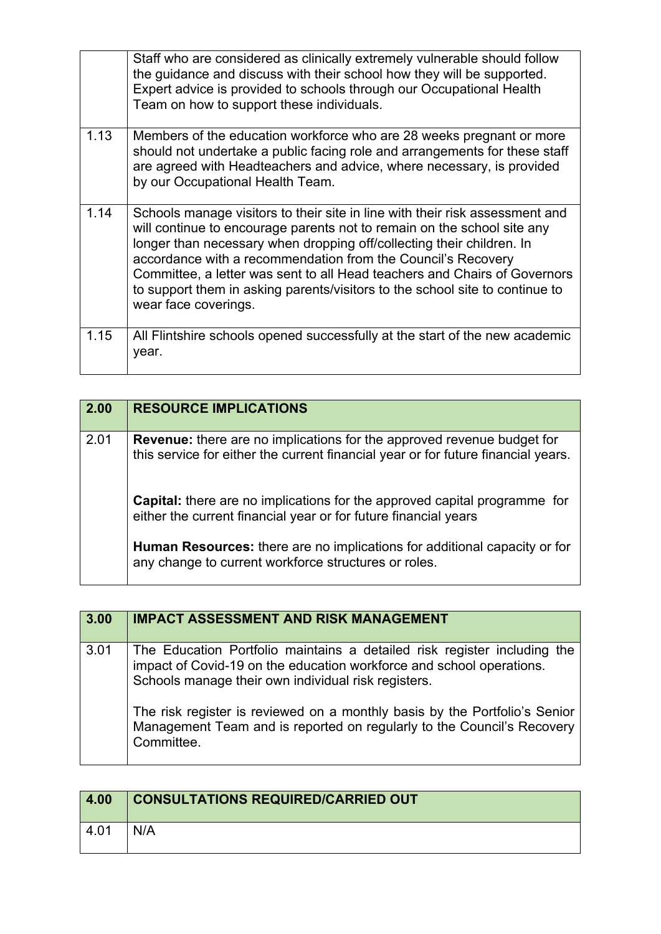|      | Staff who are considered as clinically extremely vulnerable should follow<br>the guidance and discuss with their school how they will be supported.<br>Expert advice is provided to schools through our Occupational Health<br>Team on how to support these individuals.                                                                                                                                                                                                              |
|------|---------------------------------------------------------------------------------------------------------------------------------------------------------------------------------------------------------------------------------------------------------------------------------------------------------------------------------------------------------------------------------------------------------------------------------------------------------------------------------------|
| 1.13 | Members of the education workforce who are 28 weeks pregnant or more<br>should not undertake a public facing role and arrangements for these staff<br>are agreed with Headteachers and advice, where necessary, is provided<br>by our Occupational Health Team.                                                                                                                                                                                                                       |
| 1.14 | Schools manage visitors to their site in line with their risk assessment and<br>will continue to encourage parents not to remain on the school site any<br>longer than necessary when dropping off/collecting their children. In<br>accordance with a recommendation from the Council's Recovery<br>Committee, a letter was sent to all Head teachers and Chairs of Governors<br>to support them in asking parents/visitors to the school site to continue to<br>wear face coverings. |
| 1.15 | All Flintshire schools opened successfully at the start of the new academic<br>year.                                                                                                                                                                                                                                                                                                                                                                                                  |

| 2.00 | <b>RESOURCE IMPLICATIONS</b>                                                                                                                                       |
|------|--------------------------------------------------------------------------------------------------------------------------------------------------------------------|
| 2.01 | <b>Revenue:</b> there are no implications for the approved revenue budget for<br>this service for either the current financial year or for future financial years. |
|      | <b>Capital:</b> there are no implications for the approved capital programme for<br>either the current financial year or for future financial years                |
|      | Human Resources: there are no implications for additional capacity or for<br>any change to current workforce structures or roles.                                  |

| 3.00 | <b>IMPACT ASSESSMENT AND RISK MANAGEMENT</b>                                                                                                                                                            |
|------|---------------------------------------------------------------------------------------------------------------------------------------------------------------------------------------------------------|
| 3.01 | The Education Portfolio maintains a detailed risk register including the<br>impact of Covid-19 on the education workforce and school operations.<br>Schools manage their own individual risk registers. |
|      | The risk register is reviewed on a monthly basis by the Portfolio's Senior<br>Management Team and is reported on regularly to the Council's Recovery<br>Committee.                                      |

| 4.00 | <b>CONSULTATIONS REQUIRED/CARRIED OUT</b> |
|------|-------------------------------------------|
| 4.01 | N/A                                       |